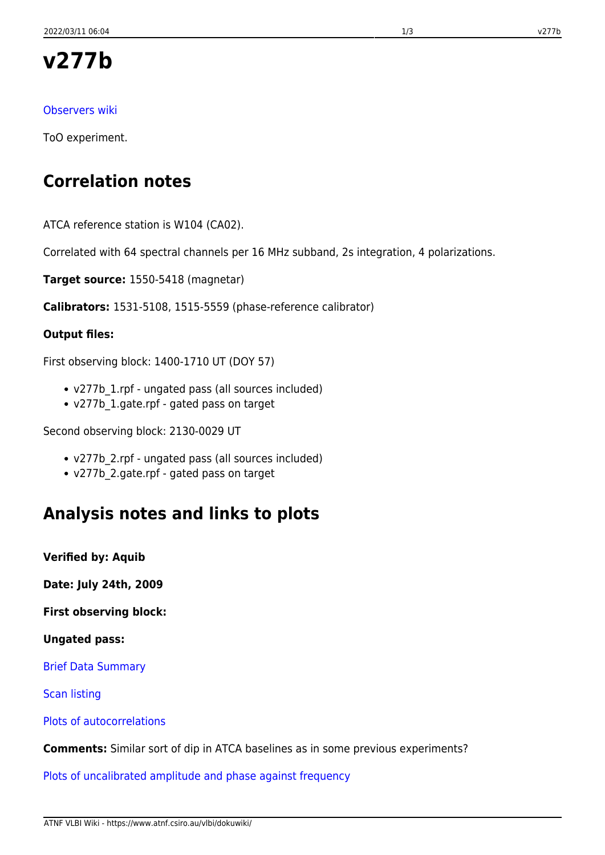# **v277b**

### [Observers wiki](http://www.atnf.csiro.au/vlbi/wiki/index.php?n=LBAFeb2009.V277B)

ToO experiment.

## **Correlation notes**

ATCA reference station is W104 (CA02).

Correlated with 64 spectral channels per 16 MHz subband, 2s integration, 4 polarizations.

**Target source:** 1550-5418 (magnetar)

**Calibrators:** 1531-5108, 1515-5559 (phase-reference calibrator)

#### **Output files:**

First observing block: 1400-1710 UT (DOY 57)

- v277b\_1.rpf ungated pass (all sources included)
- v277b\_1.gate.rpf gated pass on target

Second observing block: 2130-0029 UT

- v277b\_2.rpf ungated pass (all sources included)
- v277b\_2.gate.rpf gated pass on target

### **Analysis notes and links to plots**

**Verified by: Aquib**

**Date: July 24th, 2009**

**First observing block:**

#### **Ungated pass:**

[Brief Data Summary](ftp://ftp.atnf.csiro.au/pub/people/vlbi/pipeline/v277b/v277b_1.DTSUM.txt)

[Scan listing](ftp://ftp.atnf.csiro.au/pub/people/vlbi/pipeline/v277b/v277b_1.SCAN.txt)

[Plots of autocorrelations](ftp://ftp.atnf.csiro.au/pub/people/vlbi/pipeline/v277b/v277b_1_POSSM_AUTOCORR.pdf)

**Comments:** Similar sort of dip in ATCA baselines as in some previous experiments?

[Plots of uncalibrated amplitude and phase against frequency](ftp://ftp.atnf.csiro.au/pub/people/vlbi/pipeline/v277b/v277b_1_POSSM_UNCAL.pdf)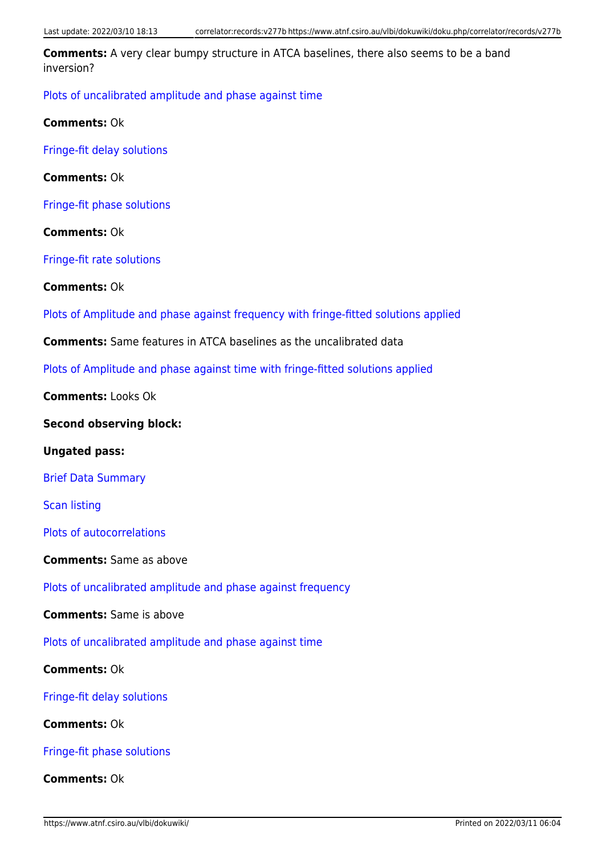**Comments:** A very clear bumpy structure in ATCA baselines, there also seems to be a band inversion?

[Plots of uncalibrated amplitude and phase against time](ftp://ftp.atnf.csiro.au/pub/people/vlbi/pipeline/v277b/v277b_1_VPLOT_UNCAL.pdf)

**Comments:** Ok

[Fringe-fit delay solutions](ftp://ftp.atnf.csiro.au/pub/people/vlbi/pipeline/v277b/v277b_1_FRING_DELAY.pdf)

**Comments:** Ok

[Fringe-fit phase solutions](ftp://ftp.atnf.csiro.au/pub/people/vlbi/pipeline/v277b/v277b_1_FRING_PHAS.pdf)

**Comments:** Ok

[Fringe-fit rate solutions](ftp://ftp.atnf.csiro.au/pub/people/vlbi/pipeline/v277b/v277b_1_FRING_RATE.pdf)

**Comments:** Ok

[Plots of Amplitude and phase against frequency with fringe-fitted solutions applied](ftp://ftp.atnf.csiro.au/pub/people/vlbi/pipeline/v277b/v277b_1_POSSM_CAL.pdf)

**Comments:** Same features in ATCA baselines as the uncalibrated data

[Plots of Amplitude and phase against time with fringe-fitted solutions applied](ftp://ftp.atnf.csiro.au/pub/people/vlbi/pipeline/v277b/v277b_1_VPLOT_UNCAL.pdf)

**Comments:** Looks Ok

**Second observing block:**

**Ungated pass:**

[Brief Data Summary](ftp://ftp.atnf.csiro.au/pub/people/vlbi/pipeline/v277b/v277b_2.DTSUM.txt)

[Scan listing](ftp://ftp.atnf.csiro.au/pub/people/vlbi/pipeline/v277b/v277b_2.SCAN.txt)

[Plots of autocorrelations](ftp://ftp.atnf.csiro.au/pub/people/vlbi/pipeline/v277b/v277b_2_POSSM_AUTOCORR.pdf)

**Comments:** Same as above

[Plots of uncalibrated amplitude and phase against frequency](ftp://ftp.atnf.csiro.au/pub/people/vlbi/pipeline/v277b/v277b_2_POSSM_UNCAL.pdf)

**Comments:** Same is above

[Plots of uncalibrated amplitude and phase against time](ftp://ftp.atnf.csiro.au/pub/people/vlbi/pipeline/v277b/v277b_2_VPLOT_UNCAL.pdf)

**Comments:** Ok

[Fringe-fit delay solutions](ftp://ftp.atnf.csiro.au/pub/people/vlbi/pipeline/v277b/v277b_2_FRING_DELAY.pdf)

**Comments:** Ok

[Fringe-fit phase solutions](ftp://ftp.atnf.csiro.au/pub/people/vlbi/pipeline/v277b/v277b_2_FRING_PHAS.pdf)

**Comments:** Ok